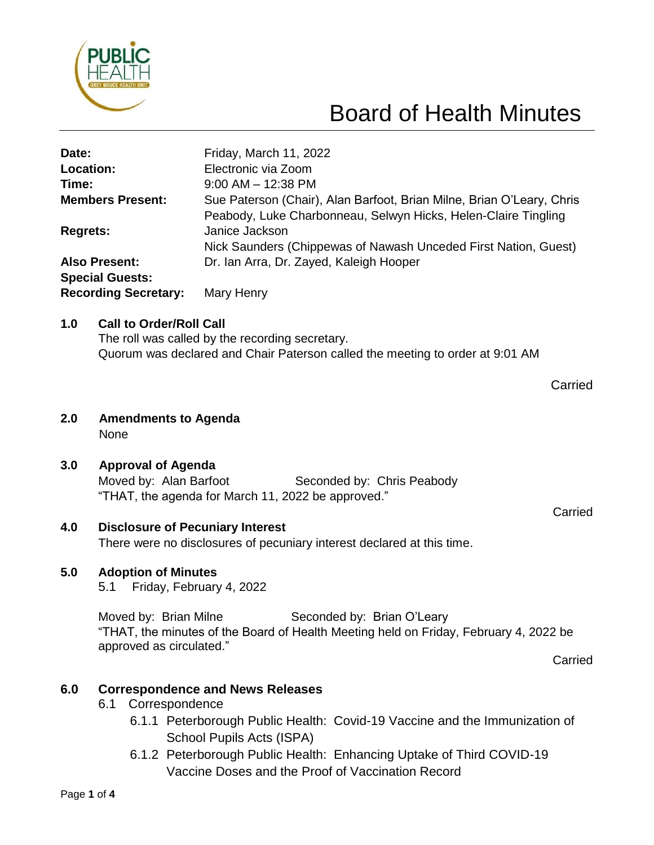

# Board of Health Minutes

| Date:                                          | Friday, March 11, 2022                                                                                                                  |
|------------------------------------------------|-----------------------------------------------------------------------------------------------------------------------------------------|
| Location:                                      | Electronic via Zoom                                                                                                                     |
| Time:                                          | $9:00$ AM $-$ 12:38 PM                                                                                                                  |
| <b>Members Present:</b>                        | Sue Paterson (Chair), Alan Barfoot, Brian Milne, Brian O'Leary, Chris<br>Peabody, Luke Charbonneau, Selwyn Hicks, Helen-Claire Tingling |
| <b>Regrets:</b>                                | Janice Jackson<br>Nick Saunders (Chippewas of Nawash Unceded First Nation, Guest)                                                       |
| <b>Also Present:</b><br><b>Special Guests:</b> | Dr. Ian Arra, Dr. Zayed, Kaleigh Hooper                                                                                                 |
| <b>Recording Secretary:</b>                    | Mary Henry                                                                                                                              |

#### **1.0 Call to Order/Roll Call**

The roll was called by the recording secretary. Quorum was declared and Chair Paterson called the meeting to order at 9:01 AM

- **2.0 Amendments to Agenda** None
- **3.0 Approval of Agenda**

Moved by: Alan Barfoot Seconded by: Chris Peabody "THAT, the agenda for March 11, 2022 be approved."

# **4.0 Disclosure of Pecuniary Interest**

There were no disclosures of pecuniary interest declared at this time.

### **5.0 Adoption of Minutes**

5.1 Friday, February 4, 2022

Moved by: Brian Milne Seconded by: Brian O'Leary "THAT, the minutes of the Board of Health Meeting held on Friday, February 4, 2022 be approved as circulated."

**Carried** 

# **6.0 Correspondence and News Releases**

- 6.1 Correspondence
	- 6.1.1 Peterborough Public Health: Covid-19 Vaccine and the Immunization of School Pupils Acts (ISPA)
	- 6.1.2 Peterborough Public Health: Enhancing Uptake of Third COVID-19 Vaccine Doses and the Proof of Vaccination Record

**Carried** 

Carried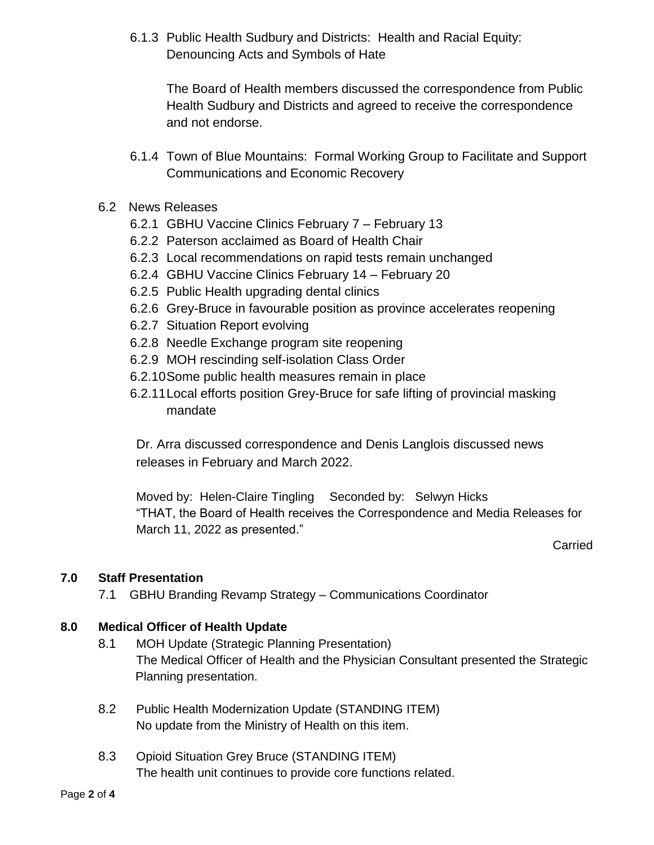6.1.3 Public Health Sudbury and Districts: Health and Racial Equity: Denouncing Acts and Symbols of Hate

The Board of Health members discussed the correspondence from Public Health Sudbury and Districts and agreed to receive the correspondence and not endorse.

- 6.1.4 Town of Blue Mountains: Formal Working Group to Facilitate and Support Communications and Economic Recovery
- 6.2 News Releases
	- 6.2.1 GBHU Vaccine Clinics February 7 February 13
	- 6.2.2 Paterson acclaimed as Board of Health Chair
	- 6.2.3 Local recommendations on rapid tests remain unchanged
	- 6.2.4 GBHU Vaccine Clinics February 14 February 20
	- 6.2.5 Public Health upgrading dental clinics
	- 6.2.6 Grey-Bruce in favourable position as province accelerates reopening
	- 6.2.7 Situation Report evolving
	- 6.2.8 Needle Exchange program site reopening
	- 6.2.9 MOH rescinding self-isolation Class Order
	- 6.2.10Some public health measures remain in place
	- 6.2.11Local efforts position Grey-Bruce for safe lifting of provincial masking mandate

Dr. Arra discussed correspondence and Denis Langlois discussed news releases in February and March 2022.

Moved by: Helen-Claire Tingling Seconded by: Selwyn Hicks "THAT, the Board of Health receives the Correspondence and Media Releases for March 11, 2022 as presented."

**Carried** 

### **7.0 Staff Presentation**

7.1 GBHU Branding Revamp Strategy – Communications Coordinator

### **8.0 Medical Officer of Health Update**

- 8.1 MOH Update (Strategic Planning Presentation) The Medical Officer of Health and the Physician Consultant presented the Strategic Planning presentation.
- 8.2 Public Health Modernization Update (STANDING ITEM) No update from the Ministry of Health on this item.
- 8.3 Opioid Situation Grey Bruce (STANDING ITEM) The health unit continues to provide core functions related.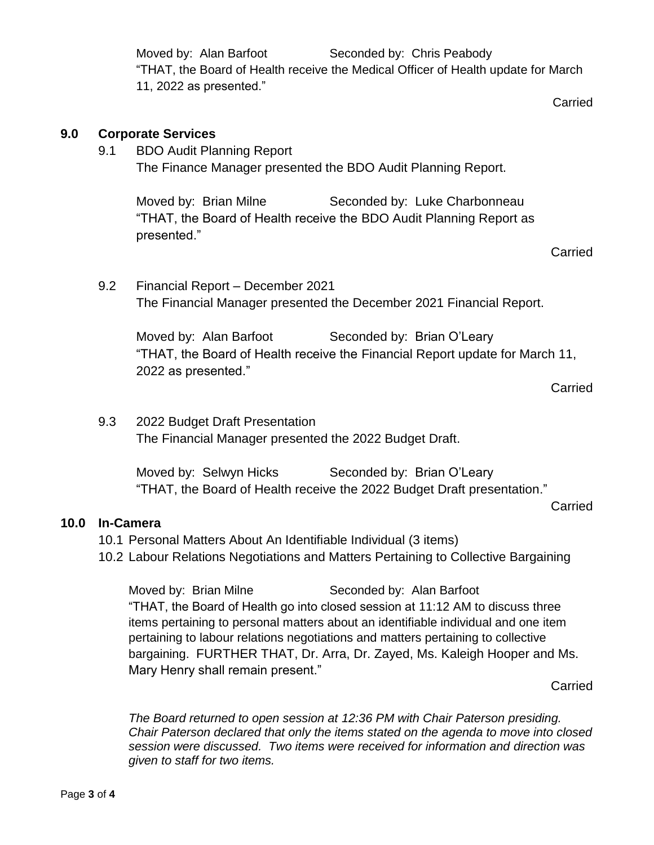Moved by: Alan Barfoot Seconded by: Chris Peabody "THAT, the Board of Health receive the Medical Officer of Health update for March 11, 2022 as presented."

**Carried** 

#### **9.0 Corporate Services**

9.1 BDO Audit Planning Report The Finance Manager presented the BDO Audit Planning Report.

Moved by: Brian Milne Seconded by: Luke Charbonneau "THAT, the Board of Health receive the BDO Audit Planning Report as presented."

Carried

9.2 Financial Report – December 2021 The Financial Manager presented the December 2021 Financial Report.

Moved by: Alan Barfoot Seconded by: Brian O'Leary "THAT, the Board of Health receive the Financial Report update for March 11, 2022 as presented."

Carried

Carried

9.3 2022 Budget Draft Presentation The Financial Manager presented the 2022 Budget Draft.

> Moved by: Selwyn Hicks Seconded by: Brian O'Leary "THAT, the Board of Health receive the 2022 Budget Draft presentation."

- 10.1 Personal Matters About An Identifiable Individual (3 items)
- 10.2 Labour Relations Negotiations and Matters Pertaining to Collective Bargaining

Moved by: Brian Milne Seconded by: Alan Barfoot "THAT, the Board of Health go into closed session at 11:12 AM to discuss three items pertaining to personal matters about an identifiable individual and one item pertaining to labour relations negotiations and matters pertaining to collective bargaining. FURTHER THAT, Dr. Arra, Dr. Zayed, Ms. Kaleigh Hooper and Ms. Mary Henry shall remain present."

Carried

*The Board returned to open session at 12:36 PM with Chair Paterson presiding. Chair Paterson declared that only the items stated on the agenda to move into closed session were discussed. Two items were received for information and direction was given to staff for two items.*

**10.0 In-Camera**